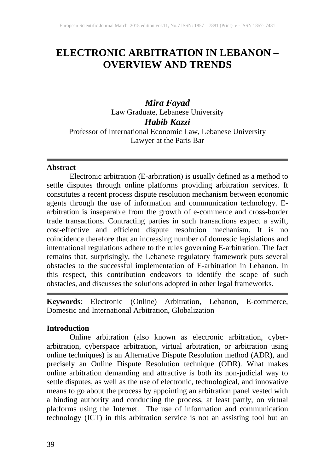## **ELECTRONIC ARBITRATION IN LEBANON – OVERVIEW AND TRENDS**

*Mira Fayad* Law Graduate, Lebanese University *Habib Kazzi* Professor of International Economic Law, Lebanese University Lawyer at the Paris Bar

#### **Abstract**

Electronic arbitration (E-arbitration) is usually defined as a method to settle disputes through online platforms providing arbitration services. It constitutes a recent process dispute resolution mechanism between economic agents through the use of information and communication technology. Earbitration is inseparable from the growth of e-commerce and cross-border trade transactions. Contracting parties in such transactions expect a swift, cost-effective and efficient dispute resolution mechanism. It is no coincidence therefore that an increasing number of domestic legislations and international regulations adhere to the rules governing E-arbitration. The fact remains that, surprisingly, the Lebanese regulatory framework puts several obstacles to the successful implementation of E-arbitration in Lebanon. In this respect, this contribution endeavors to identify the scope of such obstacles, and discusses the solutions adopted in other legal frameworks.

**Keywords**: Electronic (Online) Arbitration, Lebanon, E-commerce, Domestic and International Arbitration, Globalization

#### **Introduction**

Online arbitration (also known as electronic arbitration, cyberarbitration, cyberspace arbitration, virtual arbitration, or arbitration using online techniques) is an Alternative Dispute Resolution method (ADR), and precisely an Online Dispute Resolution technique (ODR). What makes online arbitration demanding and attractive is both its non-judicial way to settle disputes, as well as the use of electronic, technological, and innovative means to go about the process by appointing an arbitration panel vested with a binding authority and conducting the process, at least partly, on virtual platforms using the Internet. The use of information and communication technology (ICT) in this arbitration service is not an assisting tool but an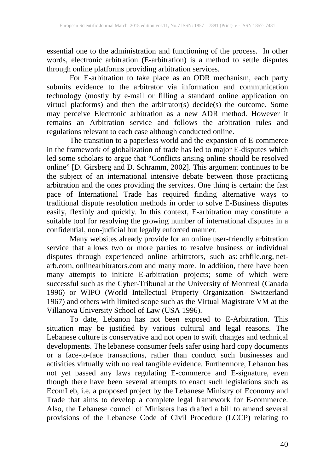essential one to the administration and functioning of the process. In other words, electronic arbitration (E-arbitration) is a method to settle disputes through online platforms providing arbitration services.

For E-arbitration to take place as an ODR mechanism, each party submits evidence to the arbitrator via information and communication technology (mostly by e-mail or filling a standard online application on virtual platforms) and then the arbitrator(s) decide(s) the outcome. Some may perceive Electronic arbitration as a new ADR method. However it remains an Arbitration service and follows the arbitration rules and regulations relevant to each case although conducted online.

The transition to a paperless world and the expansion of E-commerce in the framework of globalization of trade has led to major E-disputes which led some scholars to argue that "Conflicts arising online should be resolved online" [D. Girsberg and D. Schramm, 2002]. This argument continues to be the subject of an international intensive debate between those practicing arbitration and the ones providing the services. One thing is certain: the fast pace of International Trade has required finding alternative ways to traditional dispute resolution methods in order to solve E-Business disputes easily, flexibly and quickly. In this context, E-arbitration may constitute a suitable tool for resolving the growing number of international disputes in a confidential, non-judicial but legally enforced manner.

Many websites already provide for an online user-friendly arbitration service that allows two or more parties to resolve business or individual disputes through experienced online arbitrators, such as: arbfile.org, netarb.com, onlinearbitrators.com and many more. In addition, there have been many attempts to initiate E-arbitration projects; some of which were successful such as the Cyber-Tribunal at the University of Montreal (Canada 1996) or WIPO (World Intellectual Property Organization- Switzerland 1967) and others with limited scope such as the Virtual Magistrate VM at the Villanova University School of Law (USA 1996).

To date, Lebanon has not been exposed to E-Arbitration. This situation may be justified by various cultural and legal reasons. The Lebanese culture is conservative and not open to swift changes and technical developments. The lebanese consumer feels safer using hard copy documents or a face-to-face transactions, rather than conduct such businesses and activities virtually with no real tangible evidence. Furthermore, Lebanon has not yet passed any laws regulating E-commerce and E-signature, even though there have been several attempts to enact such legislations such as EcomLeb, i.e. a proposed project by the Lebanese Ministry of Economy and Trade that aims to develop a complete legal framework for E-commerce. Also, the Lebanese council of Ministers has drafted a bill to amend several provisions of the Lebanese Code of Civil Procedure (LCCP) relating to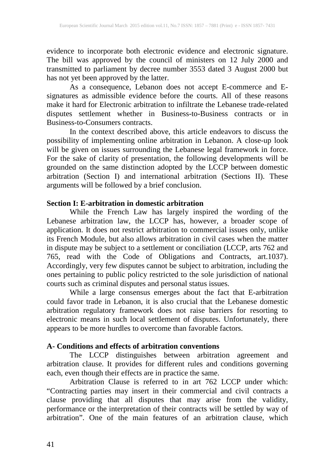evidence to incorporate both electronic evidence and electronic signature. The bill was approved by the council of ministers on 12 July 2000 and transmitted to parliament by decree number 3553 dated 3 August 2000 but has not yet been approved by the latter.

As a consequence, Lebanon does not accept E-commerce and Esignatures as admissible evidence before the courts. All of these reasons make it hard for Electronic arbitration to infiltrate the Lebanese trade-related disputes settlement whether in Business-to-Business contracts or in Business-to-Consumers contracts.

In the context described above, this article endeavors to discuss the possibility of implementing online arbitration in Lebanon. A close-up look will be given on issues surrounding the Lebanese legal framework in force. For the sake of clarity of presentation, the following developments will be grounded on the same distinction adopted by the LCCP between domestic arbitration (Section I) and international arbitration (Sections II). These arguments will be followed by a brief conclusion.

### **Section I: E-arbitration in domestic arbitration**

While the French Law has largely inspired the wording of the Lebanese arbitration law, the LCCP has, however, a broader scope of application. It does not restrict arbitration to commercial issues only, unlike its French Module, but also allows arbitration in civil cases when the matter in dispute may be subject to a settlement or conciliation (LCCP, arts 762 and 765, read with the Code of Obligations and Contracts, art.1037). Accordingly, very few disputes cannot be subject to arbitration, including the ones pertaining to public policy restricted to the sole jurisdiction of national courts such as criminal disputes and personal status issues.

While a large consensus emerges about the fact that E-arbitration could favor trade in Lebanon, it is also crucial that the Lebanese domestic arbitration regulatory framework does not raise barriers for resorting to electronic means in such local settlement of disputes. Unfortunately, there appears to be more hurdles to overcome than favorable factors.

### **A- Conditions and effects of arbitration conventions**

The LCCP distinguishes between arbitration agreement and arbitration clause. It provides for different rules and conditions governing each, even though their effects are in practice the same.

Arbitration Clause is referred to in art 762 LCCP under which: "Contracting parties may insert in their commercial and civil contracts a clause providing that all disputes that may arise from the validity, performance or the interpretation of their contracts will be settled by way of arbitration". One of the main features of an arbitration clause, which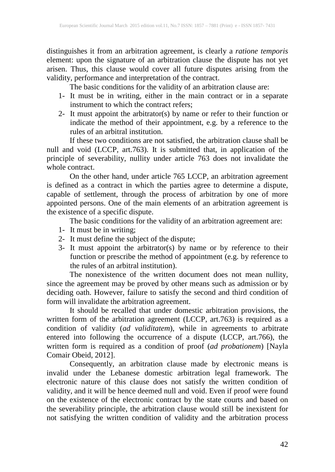distinguishes it from an arbitration agreement, is clearly a *ratione temporis* element: upon the signature of an arbitration clause the dispute has not yet arisen. Thus, this clause would cover all future disputes arising from the validity, performance and interpretation of the contract.

The basic conditions for the validity of an arbitration clause are:

- 1- It must be in writing, either in the main contract or in a separate instrument to which the contract refers;
- 2- It must appoint the arbitrator(s) by name or refer to their function or indicate the method of their appointment, e.g. by a reference to the rules of an arbitral institution.

If these two conditions are not satisfied, the arbitration clause shall be null and void (LCCP, art.763). It is submitted that, in application of the principle of severability, nullity under article 763 does not invalidate the whole contract.

On the other hand, under article 765 LCCP, an arbitration agreement is defined as a contract in which the parties agree to determine a dispute, capable of settlement, through the process of arbitration by one of more appointed persons. One of the main elements of an arbitration agreement is the existence of a specific dispute.

The basic conditions for the validity of an arbitration agreement are:

- 1- It must be in writing;
- 2- It must define the subject of the dispute;
- 3- It must appoint the arbitrator(s) by name or by reference to their function or prescribe the method of appointment (e.g. by reference to the rules of an arbitral institution).

The nonexistence of the written document does not mean nullity, since the agreement may be proved by other means such as admission or by deciding oath. However, failure to satisfy the second and third condition of form will invalidate the arbitration agreement.

It should be recalled that under domestic arbitration provisions, the written form of the arbitration agreement (LCCP, art.763) is required as a condition of validity (*ad validitatem*), while in agreements to arbitrate entered into following the occurrence of a dispute (LCCP, art.766), the written form is required as a condition of proof (*ad probationem*) [Nayla Comair Obeid, 2012].

Consequently, an arbitration clause made by electronic means is invalid under the Lebanese domestic arbitration legal framework. The electronic nature of this clause does not satisfy the written condition of validity, and it will be hence deemed null and void. Even if proof were found on the existence of the electronic contract by the state courts and based on the severability principle, the arbitration clause would still be inexistent for not satisfying the written condition of validity and the arbitration process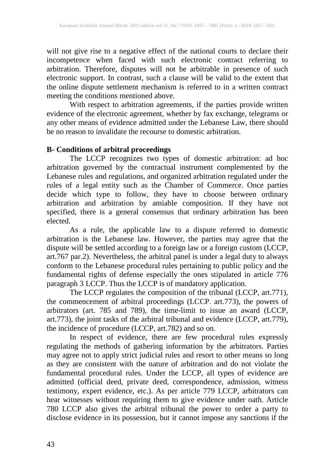will not give rise to a negative effect of the national courts to declare their incompetence when faced with such electronic contract referring to arbitration. Therefore, disputes will not be arbitrable in presence of such electronic support. In contrast, such a clause will be valid to the extent that the online dispute settlement mechanism is referred to in a written contract meeting the conditions mentioned above.

With respect to arbitration agreements, if the parties provide written evidence of the electronic agreement, whether by fax exchange, telegrams or any other means of evidence admitted under the Lebanese Law, there should be no reason to invalidate the recourse to domestic arbitration.

### **B- Conditions of arbitral proceedings**

The LCCP recognizes two types of domestic arbitration: ad hoc arbitration governed by the contractual instrument complemented by the Lebanese rules and regulations, and organized arbitration regulated under the rules of a legal entity such as the Chamber of Commerce. Once parties decide which type to follow, they have to choose between ordinary arbitration and arbitration by amiable composition. If they have not specified, there is a general consensus that ordinary arbitration has been elected.

As a rule, the applicable law to a dispute referred to domestic arbitration is the Lebanese law. However, the parties may agree that the dispute will be settled according to a foreign law or a foreign custom (LCCP, art.767 par.2). Nevertheless, the arbitral panel is under a legal duty to always conform to the Lebanese procedural rules pertaining to public policy and the fundamental rights of defense especially the ones stipulated in article 776 paragraph 3 LCCP. Thus the LCCP is of mandatory application.

The LCCP regulates the composition of the tribunal (LCCP, art.771), the commencement of arbitral proceedings (LCCP. art.773), the powers of arbitrators (art. 785 and 789), the time-limit to issue an award (LCCP, art.773), the joint tasks of the arbitral tribunal and evidence (LCCP, art.779), the incidence of procedure (LCCP, art.782) and so on.

In respect of evidence, there are few procedural rules expressly regulating the methods of gathering information by the arbitrators. Parties may agree not to apply strict judicial rules and resort to other means so long as they are consistent with the nature of arbitration and do not violate the fundamental procedural rules. Under the LCCP, all types of evidence are admitted (official deed, private deed, correspondence, admission, witness testimony, expert evidence, etc.). As per article 779 LCCP, arbitrators can hear witnesses without requiring them to give evidence under oath. Article 780 LCCP also gives the arbitral tribunal the power to order a party to disclose evidence in its possession, but it cannot impose any sanctions if the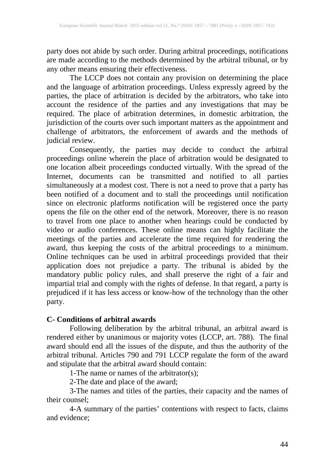party does not abide by such order. During arbitral proceedings, notifications are made according to the methods determined by the arbitral tribunal, or by any other means ensuring their effectiveness.

The LCCP does not contain any provision on determining the place and the language of arbitration proceedings. Unless expressly agreed by the parties, the place of arbitration is decided by the arbitrators, who take into account the residence of the parties and any investigations that may be required. The place of arbitration determines, in domestic arbitration, the jurisdiction of the courts over such important matters as the appointment and challenge of arbitrators, the enforcement of awards and the methods of judicial review.

Consequently, the parties may decide to conduct the arbitral proceedings online wherein the place of arbitration would be designated to one location albeit proceedings conducted virtually. With the spread of the Internet, documents can be transmitted and notified to all parties simultaneously at a modest cost. There is not a need to prove that a party has been notified of a document and to stall the proceedings until notification since on electronic platforms notification will be registered once the party opens the file on the other end of the network. Moreover, there is no reason to travel from one place to another when hearings could be conducted by video or audio conferences. These online means can highly facilitate the meetings of the parties and accelerate the time required for rendering the award, thus keeping the costs of the arbitral proceedings to a minimum. Online techniques can be used in arbitral proceedings provided that their application does not prejudice a party. The tribunal is abided by the mandatory public policy rules, and shall preserve the right of a fair and impartial trial and comply with the rights of defense. In that regard, a party is prejudiced if it has less access or know-how of the technology than the other party.

### **C- Conditions of arbitral awards**

Following deliberation by the arbitral tribunal, an arbitral award is rendered either by unanimous or majority votes (LCCP, art. 788). The final award should end all the issues of the dispute, and thus the authority of the arbitral tribunal. Articles 790 and 791 LCCP regulate the form of the award and stipulate that the arbitral award should contain:

1-The name or names of the arbitrator(s);

2-The date and place of the award;

3-The names and titles of the parties, their capacity and the names of their counsel;

4-A summary of the parties' contentions with respect to facts, claims and evidence;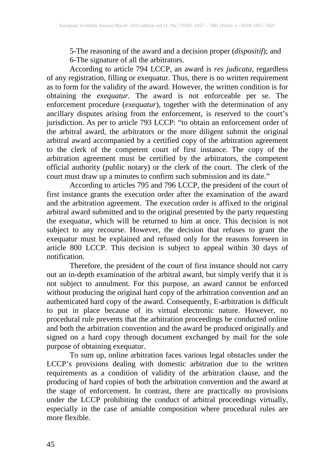5-The reasoning of the award and a decision proper (*dispositif*); and 6-The signature of all the arbitrators.

According to article 794 LCCP, an award is *res judicata,* regardless of any registration, filling or exequatur. Thus, there is no written requirement as to form for the validity of the award. However, the written condition is for obtaining the *exequatur*. The award is not enforceable per se. The enforcement procedure (*exequatur*), together with the determination of any ancillary disputes arising from the enforcement, is reserved to the court's jurisdiction. As per to article 793 LCCP: "to obtain an enforcement order of the arbitral award, the arbitrators or the more diligent submit the original arbitral award accompanied by a certified copy of the arbitration agreement to the clerk of the competent court of first instance. The copy of the arbitration agreement must be certified by the arbitrators, the competent official authority (public notary) or the clerk of the court. The clerk of the court must draw up a minutes to confirm such submission and its date."

According to articles 795 and 796 LCCP, the president of the court of first instance grants the execution order after the examination of the award and the arbitration agreement. The execution order is affixed to the original arbitral award submitted and to the original presented by the party requesting the exequatur, which will be returned to him at once. This decision is not subject to any recourse. However, the decision that refuses to grant the exequatur must be explained and refused only for the reasons foreseen in article 800 LCCP. This decision is subject to appeal within 30 days of notification.

Therefore, the president of the court of first instance should not carry out an in-depth examination of the arbitral award, but simply verify that it is not subject to annulment. For this purpose, an award cannot be enforced without producing the original hard copy of the arbitration convention and an authenticated hard copy of the award. Consequently, E-arbitration is difficult to put in place because of its virtual electronic nature. However, no procedural rule prevents that the arbitration proceedings be conducted online and both the arbitration convention and the award be produced originally and signed on a hard copy through document exchanged by mail for the sole purpose of obtaining exequatur.

To sum up, online arbitration faces various legal obstacles under the LCCP's provisions dealing with domestic arbitration due to the written requirements as a condition of validity of the arbitration clause, and the producing of hard copies of both the arbitration convention and the award at the stage of enforcement. In contrast, there are practically no provisions under the LCCP prohibiting the conduct of arbitral proceedings virtually, especially in the case of amiable composition where procedural rules are more flexible.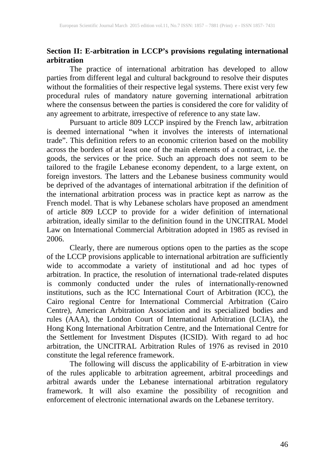## **Section II: E-arbitration in LCCP's provisions regulating international arbitration**

The practice of international arbitration has developed to allow parties from different legal and cultural background to resolve their disputes without the formalities of their respective legal systems. There exist very few procedural rules of mandatory nature governing international arbitration where the consensus between the parties is considered the core for validity of any agreement to arbitrate, irrespective of reference to any state law.

Pursuant to article 809 LCCP inspired by the French law, arbitration is deemed international "when it involves the interests of international trade". This definition refers to an economic criterion based on the mobility across the borders of at least one of the main elements of a contract, i.e. the goods, the services or the price. Such an approach does not seem to be tailored to the fragile Lebanese economy dependent, to a large extent, on foreign investors. The latters and the Lebanese business community would be deprived of the advantages of international arbitration if the definition of the international arbitration process was in practice kept as narrow as the French model. That is why Lebanese scholars have proposed an amendment of article 809 LCCP to provide for a wider definition of international arbitration, ideally similar to the definition found in the UNCITRAL Model Law on International Commercial Arbitration adopted in 1985 as revised in 2006.

Clearly, there are numerous options open to the parties as the scope of the LCCP provisions applicable to international arbitration are sufficiently wide to accommodate a variety of institutional and ad hoc types of arbitration. In practice, the resolution of international trade-related disputes is commonly conducted under the rules of internationally-renowned institutions, such as the ICC International Court of Arbitration (ICC), the Cairo regional Centre for International Commercial Arbitration (Cairo Centre), American Arbitration Association and its specialized bodies and rules (AAA), the London Court of International Arbitration (LCIA), the Hong Kong International Arbitration Centre, and the International Centre for the Settlement for Investment Disputes (ICSID). With regard to ad hoc arbitration, the UNCITRAL Arbitration Rules of 1976 as revised in 2010 constitute the legal reference framework.

The following will discuss the applicability of E-arbitration in view of the rules applicable to arbitration agreement, arbitral proceedings and arbitral awards under the Lebanese international arbitration regulatory framework. It will also examine the possibility of recognition and enforcement of electronic international awards on the Lebanese territory.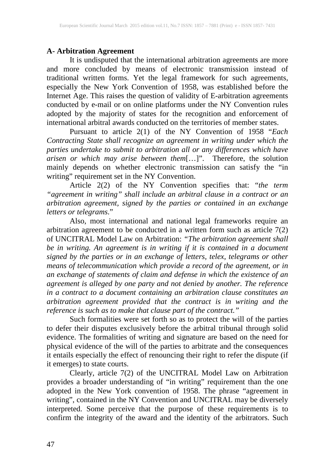#### **A- Arbitration Agreement**

It is undisputed that the international arbitration agreements are more and more concluded by means of electronic transmission instead of traditional written forms. Yet the legal framework for such agreements, especially the New York Convention of 1958, was established before the Internet Age. This raises the question of validity of E-arbitration agreements conducted by e-mail or on online platforms under the NY Convention rules adopted by the majority of states for the recognition and enforcement of international arbitral awards conducted on the territories of member states.

Pursuant to article 2(1) of the NY Convention of 1958 "*Each Contracting State shall recognize an agreement in writing under which the parties undertake to submit to arbitration all or any differences which have arisen or which may arise between them*[…]". Therefore, the solution mainly depends on whether electronic transmission can satisfy the "in writing" requirement set in the NY Convention.

Article 2(2) of the NY Convention specifies that: "*the term "agreement in writing" shall include an arbitral clause in a contract or an arbitration agreement, signed by the parties or contained in an exchange letters or telegrams*."

Also, most international and national legal frameworks require an arbitration agreement to be conducted in a written form such as article 7(2) of UNCITRAL Model Law on Arbitration: *"The arbitration agreement shall be in writing. An agreement is in writing if it is contained in a document signed by the parties or in an exchange of letters, telex, telegrams or other means of telecommunication which provide a record of the agreement, or in an exchange of statements of claim and defense in which the existence of an agreement is alleged by one party and not denied by another. The reference in a contract to a document containing an arbitration clause constitutes an arbitration agreement provided that the contract is in writing and the reference is such as to make that clause part of the contract."*

Such formalities were set forth so as to protect the will of the parties to defer their disputes exclusively before the arbitral tribunal through solid evidence. The formalities of writing and signature are based on the need for physical evidence of the will of the parties to arbitrate and the consequences it entails especially the effect of renouncing their right to refer the dispute (if it emerges) to state courts.

Clearly, article 7(2) of the UNCITRAL Model Law on Arbitration provides a broader understanding of "in writing" requirement than the one adopted in the New York convention of 1958. The phrase "agreement in writing", contained in the NY Convention and UNCITRAL may be diversely interpreted. Some perceive that the purpose of these requirements is to confirm the integrity of the award and the identity of the arbitrators. Such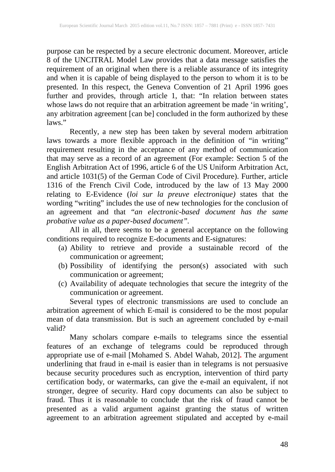purpose can be respected by a secure electronic document. Moreover, article 8 of the UNCITRAL Model Law provides that a data message satisfies the requirement of an original when there is a reliable assurance of its integrity and when it is capable of being displayed to the person to whom it is to be presented. In this respect, the Geneva Convention of 21 April 1996 goes further and provides, through article 1, that: "In relation between states whose laws do not require that an arbitration agreement be made 'in writing', any arbitration agreement [can be] concluded in the form authorized by these laws."

Recently, a new step has been taken by several modern arbitration laws towards a more flexible approach in the definition of "in writing" requirement resulting in the acceptance of any method of communication that may serve as a record of an agreement (For example: Section 5 of the English Arbitration Act of 1996, article 6 of the US Uniform Arbitration Act, and article 1031(5) of the German Code of Civil Procedure). Further, article 1316 of the French Civil Code, introduced by the law of 13 May 2000 relating to E-Evidence (*loi sur la preuve electronique)* states that the wording "writing" includes the use of new technologies for the conclusion of an agreement and that "*an electronic-based document has the same probative value as a paper-based document".*

All in all, there seems to be a general acceptance on the following conditions required to recognize E-documents and E-signatures:

- (a) Ability to retrieve and provide a sustainable record of the communication or agreement;
- (b) Possibility of identifying the person(s) associated with such communication or agreement;
- (c) Availability of adequate technologies that secure the integrity of the communication or agreement.

Several types of electronic transmissions are used to conclude an arbitration agreement of which E-mail is considered to be the most popular mean of data transmission. But is such an agreement concluded by e-mail valid?

Many scholars compare e-mails to telegrams since the essential features of an exchange of telegrams could be reproduced through appropriate use of e-mail [Mohamed S. Abdel Wahab, 2012]**.** The argument underlining that fraud in e-mail is easier than in telegrams is not persuasive because security procedures such as encryption, intervention of third party certification body, or watermarks, can give the e-mail an equivalent, if not stronger, degree of security. Hard copy documents can also be subject to fraud. Thus it is reasonable to conclude that the risk of fraud cannot be presented as a valid argument against granting the status of written agreement to an arbitration agreement stipulated and accepted by e-mail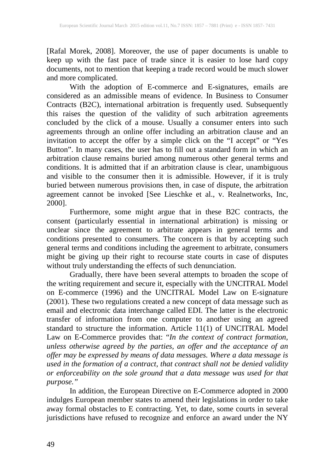[Rafal Morek, 2008]. Moreover, the use of paper documents is unable to keep up with the fast pace of trade since it is easier to lose hard copy documents, not to mention that keeping a trade record would be much slower and more complicated.

With the adoption of E-commerce and E-signatures, emails are considered as an admissible means of evidence. In Business to Consumer Contracts (B2C), international arbitration is frequently used. Subsequently this raises the question of the validity of such arbitration agreements concluded by the click of a mouse. Usually a consumer enters into such agreements through an online offer including an arbitration clause and an invitation to accept the offer by a simple click on the "I accept" or "Yes Button". In many cases, the user has to fill out a standard form in which an arbitration clause remains buried among numerous other general terms and conditions. It is admitted that if an arbitration clause is clear, unambiguous and visible to the consumer then it is admissible. However, if it is truly buried between numerous provisions then, in case of dispute, the arbitration agreement cannot be invoked [See Lieschke et al., v. Realnetworks, Inc, 2000].

Furthermore, some might argue that in these B2C contracts, the consent (particularly essential in international arbitration) is missing or unclear since the agreement to arbitrate appears in general terms and conditions presented to consumers. The concern is that by accepting such general terms and conditions including the agreement to arbitrate, consumers might be giving up their right to recourse state courts in case of disputes without truly understanding the effects of such denunciation.

Gradually, there have been several attempts to broaden the scope of the writing requirement and secure it, especially with the UNCITRAL Model on E-commerce (1996) and the UNCITRAL Model Law on E-signature (2001). These two regulations created a new concept of data message such as email and electronic data interchange called EDI. The latter is the electronic transfer of information from one computer to another using an agreed standard to structure the information. Article 11(1) of UNCITRAL Model Law on E-Commerce provides that: "*In the context of contract formation, unless otherwise agreed by the parties, an offer and the acceptance of an offer may be expressed by means of data messages. Where a data message is used in the formation of a contract, that contract shall not be denied validity or enforceability on the sole ground that a data message was used for that purpose."*

In addition, the European Directive on E-Commerce adopted in 2000 indulges European member states to amend their legislations in order to take away formal obstacles to E contracting. Yet, to date, some courts in several jurisdictions have refused to recognize and enforce an award under the NY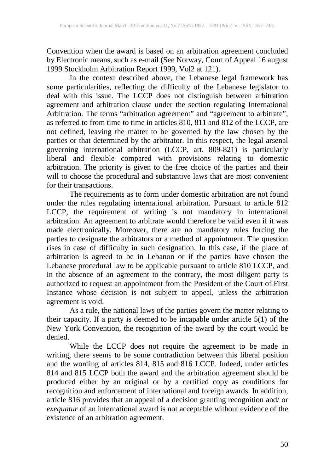Convention when the award is based on an arbitration agreement concluded by Electronic means, such as e-mail (See Norway, Court of Appeal 16 august 1999 Stockholm Arbitration Report 1999, Vol2 at 121).

In the context described above, the Lebanese legal framework has some particularities, reflecting the difficulty of the Lebanese legislator to deal with this issue. The LCCP does not distinguish between arbitration agreement and arbitration clause under the section regulating International Arbitration. The terms "arbitration agreement" and "agreement to arbitrate", as referred to from time to time in articles 810, 811 and 812 of the LCCP, are not defined, leaving the matter to be governed by the law chosen by the parties or that determined by the arbitrator. In this respect, the legal arsenal governing international arbitration (LCCP, art. 809-821) is particularly liberal and flexible compared with provisions relating to domestic arbitration. The priority is given to the free choice of the parties and their will to choose the procedural and substantive laws that are most convenient for their transactions.

The requirements as to form under domestic arbitration are not found under the rules regulating international arbitration. Pursuant to article 812 LCCP, the requirement of writing is not mandatory in international arbitration. An agreement to arbitrate would therefore be valid even if it was made electronically. Moreover, there are no mandatory rules forcing the parties to designate the arbitrators or a method of appointment. The question rises in case of difficulty in such designation. In this case, if the place of arbitration is agreed to be in Lebanon or if the parties have chosen the Lebanese procedural law to be applicable pursuant to article 810 LCCP, and in the absence of an agreement to the contrary, the most diligent party is authorized to request an appointment from the President of the Court of First Instance whose decision is not subject to appeal, unless the arbitration agreement is void.

As a rule, the national laws of the parties govern the matter relating to their capacity. If a party is deemed to be incapable under article 5(1) of the New York Convention, the recognition of the award by the court would be denied.

While the LCCP does not require the agreement to be made in writing, there seems to be some contradiction between this liberal position and the wording of articles 814, 815 and 816 LCCP. Indeed, under articles 814 and 815 LCCP both the award and the arbitration agreement should be produced either by an original or by a certified copy as conditions for recognition and enforcement of international and foreign awards. In addition, article 816 provides that an appeal of a decision granting recognition and/ or *exequatur* of an international award is not acceptable without evidence of the existence of an arbitration agreement.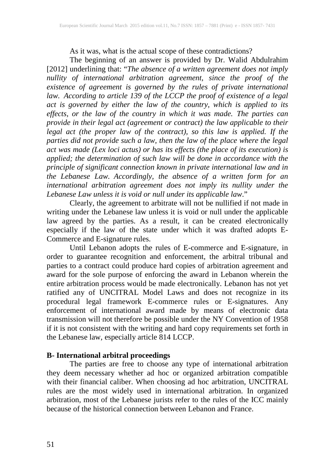As it was, what is the actual scope of these contradictions?

The beginning of an answer is provided by Dr. Walid Abdulrahim [2012] underlining that: "*The absence of a written agreement does not imply nullity of international arbitration agreement, since the proof of the existence of agreement is governed by the rules of private international law. According to article 139 of the LCCP the proof of existence of a legal act is governed by either the law of the country, which is applied to its effects, or the law of the country in which it was made. The parties can provide in their legal act (agreement or contract) the law applicable to their legal act (the proper law of the contract), so this law is applied. If the parties did not provide such a law, then the law of the place where the legal act was made (Lex loci actus) or has its effects (the place of its execution) is applied; the determination of such law will be done in accordance with the principle of significant connection known in private international law and in the Lebanese Law. Accordingly, the absence of a written form for an international arbitration agreement does not imply its nullity under the Lebanese Law unless it is void or null under its applicable law*."

Clearly, the agreement to arbitrate will not be nullified if not made in writing under the Lebanese law unless it is void or null under the applicable law agreed by the parties. As a result, it can be created electronically especially if the law of the state under which it was drafted adopts E-Commerce and E-signature rules.

Until Lebanon adopts the rules of E-commerce and E-signature, in order to guarantee recognition and enforcement, the arbitral tribunal and parties to a contract could produce hard copies of arbitration agreement and award for the sole purpose of enforcing the award in Lebanon wherein the entire arbitration process would be made electronically. Lebanon has not yet ratified any of UNCITRAL Model Laws and does not recognize in its procedural legal framework E-commerce rules or E-signatures. Any enforcement of international award made by means of electronic data transmission will not therefore be possible under the NY Convention of 1958 if it is not consistent with the writing and hard copy requirements set forth in the Lebanese law, especially article 814 LCCP.

### **B- International arbitral proceedings**

The parties are free to choose any type of international arbitration they deem necessary whether ad hoc or organized arbitration compatible with their financial caliber. When choosing ad hoc arbitration, UNCITRAL rules are the most widely used in international arbitration. In organized arbitration, most of the Lebanese jurists refer to the rules of the ICC mainly because of the historical connection between Lebanon and France.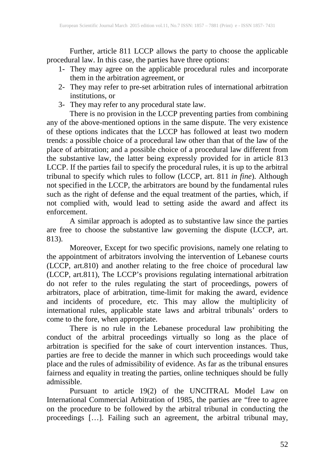Further, article 811 LCCP allows the party to choose the applicable procedural law. In this case, the parties have three options:

- 1- They may agree on the applicable procedural rules and incorporate them in the arbitration agreement, or
- 2- They may refer to pre-set arbitration rules of international arbitration institutions, or
- 3- They may refer to any procedural state law.

There is no provision in the LCCP preventing parties from combining any of the above-mentioned options in the same dispute. The very existence of these options indicates that the LCCP has followed at least two modern trends: a possible choice of a procedural law other than that of the law of the place of arbitration; and a possible choice of a procedural law different from the substantive law, the latter being expressly provided for in article 813 LCCP. If the parties fail to specify the procedural rules, it is up to the arbitral tribunal to specify which rules to follow (LCCP, art. 811 *in fine*). Although not specified in the LCCP, the arbitrators are bound by the fundamental rules such as the right of defense and the equal treatment of the parties, which, if not complied with, would lead to setting aside the award and affect its enforcement.

A similar approach is adopted as to substantive law since the parties are free to choose the substantive law governing the dispute (LCCP, art. 813).

Moreover, Except for two specific provisions, namely one relating to the appointment of arbitrators involving the intervention of Lebanese courts (LCCP, art.810) and another relating to the free choice of procedural law (LCCP, art.811), The LCCP's provisions regulating international arbitration do not refer to the rules regulating the start of proceedings, powers of arbitrators, place of arbitration, time-limit for making the award, evidence and incidents of procedure, etc. This may allow the multiplicity of international rules, applicable state laws and arbitral tribunals' orders to come to the fore, when appropriate.

There is no rule in the Lebanese procedural law prohibiting the conduct of the arbitral proceedings virtually so long as the place of arbitration is specified for the sake of court intervention instances. Thus, parties are free to decide the manner in which such proceedings would take place and the rules of admissibility of evidence. As far as the tribunal ensures fairness and equality in treating the parties, online techniques should be fully admissible.

Pursuant to article 19(2) of the UNCITRAL Model Law on International Commercial Arbitration of 1985, the parties are "free to agree on the procedure to be followed by the arbitral tribunal in conducting the proceedings […]. Failing such an agreement, the arbitral tribunal may,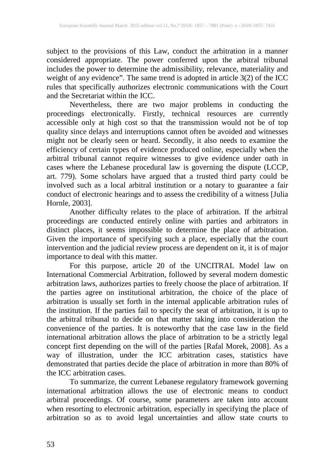subject to the provisions of this Law, conduct the arbitration in a manner considered appropriate. The power conferred upon the arbitral tribunal includes the power to determine the admissibility, relevance, materiality and weight of any evidence". The same trend is adopted in article 3(2) of the ICC rules that specifically authorizes electronic communications with the Court and the Secretariat within the ICC.

Nevertheless, there are two major problems in conducting the proceedings electronically. Firstly, technical resources are currently accessible only at high cost so that the transmission would not be of top quality since delays and interruptions cannot often be avoided and witnesses might not be clearly seen or heard. Secondly, it also needs to examine the efficiency of certain types of evidence produced online, especially when the arbitral tribunal cannot require witnesses to give evidence under oath in cases where the Lebanese procedural law is governing the dispute (LCCP, art. 779). Some scholars have argued that a trusted third party could be involved such as a local arbitral institution or a notary to guarantee a fair conduct of electronic hearings and to assess the credibility of a witness [Julia Hornle, 2003].

Another difficulty relates to the place of arbitration. If the arbitral proceedings are conducted entirely online with parties and arbitrators in distinct places, it seems impossible to determine the place of arbitration. Given the importance of specifying such a place, especially that the court intervention and the judicial review process are dependent on it, it is of major importance to deal with this matter.

For this purpose, article 20 of the UNCITRAL Model law on International Commercial Arbitration, followed by several modern domestic arbitration laws, authorizes parties to freely choose the place of arbitration. If the parties agree on institutional arbitration, the choice of the place of arbitration is usually set forth in the internal applicable arbitration rules of the institution. If the parties fail to specify the seat of arbitration, it is up to the arbitral tribunal to decide on that matter taking into consideration the convenience of the parties. It is noteworthy that the case law in the field international arbitration allows the place of arbitration to be a strictly legal concept first depending on the will of the parties [Rafal Morek, 2008]. As a way of illustration, under the ICC arbitration cases, statistics have demonstrated that parties decide the place of arbitration in more than 80% of the ICC arbitration cases.

To summarize, the current Lebanese regulatory framework governing international arbitration allows the use of electronic means to conduct arbitral proceedings. Of course, some parameters are taken into account when resorting to electronic arbitration, especially in specifying the place of arbitration so as to avoid legal uncertainties and allow state courts to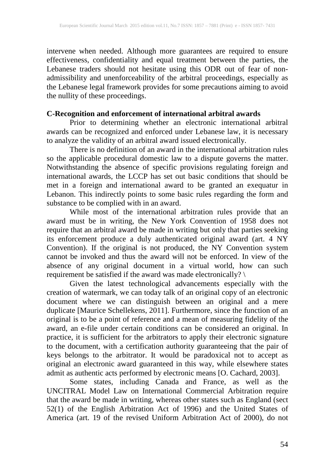intervene when needed. Although more guarantees are required to ensure effectiveness, confidentiality and equal treatment between the parties, the Lebanese traders should not hesitate using this ODR out of fear of nonadmissibility and unenforceability of the arbitral proceedings, especially as the Lebanese legal framework provides for some precautions aiming to avoid the nullity of these proceedings.

# **C-Recognition and enforcement of international arbitral awards**

Prior to determining whether an electronic international arbitral awards can be recognized and enforced under Lebanese law, it is necessary to analyze the validity of an arbitral award issued electronically.

There is no definition of an award in the international arbitration rules so the applicable procedural domestic law to a dispute governs the matter. Notwithstanding the absence of specific provisions regulating foreign and international awards, the LCCP has set out basic conditions that should be met in a foreign and international award to be granted an exequatur in Lebanon. This indirectly points to some basic rules regarding the form and substance to be complied with in an award.

While most of the international arbitration rules provide that an award must be in writing, the New York Convention of 1958 does not require that an arbitral award be made in writing but only that parties seeking its enforcement produce a duly authenticated original award (art. 4 NY Convention). If the original is not produced, the NY Convention system cannot be invoked and thus the award will not be enforced. In view of the absence of any original document in a virtual world, how can such requirement be satisfied if the award was made electronically? \

Given the latest technological advancements especially with the creation of watermark, we can today talk of an original copy of an electronic document where we can distinguish between an original and a mere duplicate [Maurice Schellekens, 2011]. Furthermore, since the function of an original is to be a point of reference and a mean of measuring fidelity of the award, an e-file under certain conditions can be considered an original. In practice, it is sufficient for the arbitrators to apply their electronic signature to the document, with a certification authority guaranteeing that the pair of keys belongs to the arbitrator. It would be paradoxical not to accept as original an electronic award guaranteed in this way, while elsewhere states admit as authentic acts performed by electronic means [O. Cachard, 2003].

Some states, including Canada and France, as well as the UNCITRAL Model Law on International Commercial Arbitration require that the award be made in writing, whereas other states such as England (sect 52(1) of the English Arbitration Act of 1996) and the United States of America (art. 19 of the revised Uniform Arbitration Act of 2000), do not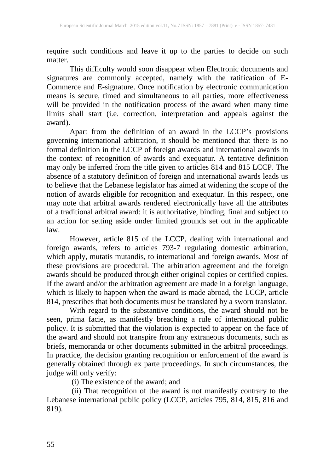require such conditions and leave it up to the parties to decide on such matter.

This difficulty would soon disappear when Electronic documents and signatures are commonly accepted, namely with the ratification of E-Commerce and E-signature. Once notification by electronic communication means is secure, timed and simultaneous to all parties, more effectiveness will be provided in the notification process of the award when many time limits shall start (i.e. correction, interpretation and appeals against the award).

Apart from the definition of an award in the LCCP's provisions governing international arbitration, it should be mentioned that there is no formal definition in the LCCP of foreign awards and international awards in the context of recognition of awards and exequatur. A tentative definition may only be inferred from the title given to articles 814 and 815 LCCP. The absence of a statutory definition of foreign and international awards leads us to believe that the Lebanese legislator has aimed at widening the scope of the notion of awards eligible for recognition and exequatur. In this respect, one may note that arbitral awards rendered electronically have all the attributes of a traditional arbitral award: it is authoritative, binding, final and subject to an action for setting aside under limited grounds set out in the applicable law.

However, article 815 of the LCCP, dealing with international and foreign awards, refers to articles 793-7 regulating domestic arbitration, which apply, mutatis mutandis, to international and foreign awards. Most of these provisions are procedural. The arbitration agreement and the foreign awards should be produced through either original copies or certified copies. If the award and/or the arbitration agreement are made in a foreign language, which is likely to happen when the award is made abroad, the LCCP, article 814, prescribes that both documents must be translated by a sworn translator.

With regard to the substantive conditions, the award should not be seen, prima facie, as manifestly breaching a rule of international public policy. It is submitted that the violation is expected to appear on the face of the award and should not transpire from any extraneous documents, such as briefs, memoranda or other documents submitted in the arbitral proceedings. In practice, the decision granting recognition or enforcement of the award is generally obtained through ex parte proceedings. In such circumstances, the judge will only verify:

(i) The existence of the award; and

(i) That recognition of the award is not manifestly contrary to the Lebanese international public policy (LCCP, articles 795, 814, 815, 816 and 819).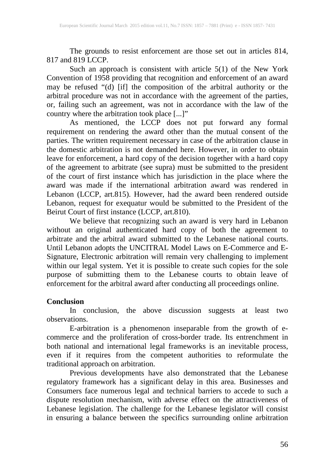The grounds to resist enforcement are those set out in articles 814, 817 and 819 LCCP.

Such an approach is consistent with article 5(1) of the New York Convention of 1958 providing that recognition and enforcement of an award may be refused "(d) [if] the composition of the arbitral authority or the arbitral procedure was not in accordance with the agreement of the parties, or, failing such an agreement, was not in accordance with the law of the country where the arbitration took place [...]"

As mentioned, the LCCP does not put forward any formal requirement on rendering the award other than the mutual consent of the parties. The written requirement necessary in case of the arbitration clause in the domestic arbitration is not demanded here. However, in order to obtain leave for enforcement, a hard copy of the decision together with a hard copy of the agreement to arbitrate (see supra) must be submitted to the president of the court of first instance which has jurisdiction in the place where the award was made if the international arbitration award was rendered in Lebanon (LCCP, art.815). However, had the award been rendered outside Lebanon, request for exequatur would be submitted to the President of the Beirut Court of first instance (LCCP, art.810).

We believe that recognizing such an award is very hard in Lebanon without an original authenticated hard copy of both the agreement to arbitrate and the arbitral award submitted to the Lebanese national courts. Until Lebanon adopts the UNCITRAL Model Laws on E-Commerce and E-Signature, Electronic arbitration will remain very challenging to implement within our legal system. Yet it is possible to create such copies for the sole purpose of submitting them to the Lebanese courts to obtain leave of enforcement for the arbitral award after conducting all proceedings online.

### **Conclusion**

In conclusion, the above discussion suggests at least two observations.

E-arbitration is a phenomenon inseparable from the growth of ecommerce and the proliferation of cross-border trade. Its entrenchment in both national and international legal frameworks is an inevitable process, even if it requires from the competent authorities to reformulate the traditional approach on arbitration.

Previous developments have also demonstrated that the Lebanese regulatory framework has a significant delay in this area. Businesses and Consumers face numerous legal and technical barriers to accede to such a dispute resolution mechanism, with adverse effect on the attractiveness of Lebanese legislation. The challenge for the Lebanese legislator will consist in ensuring a balance between the specifics surrounding online arbitration